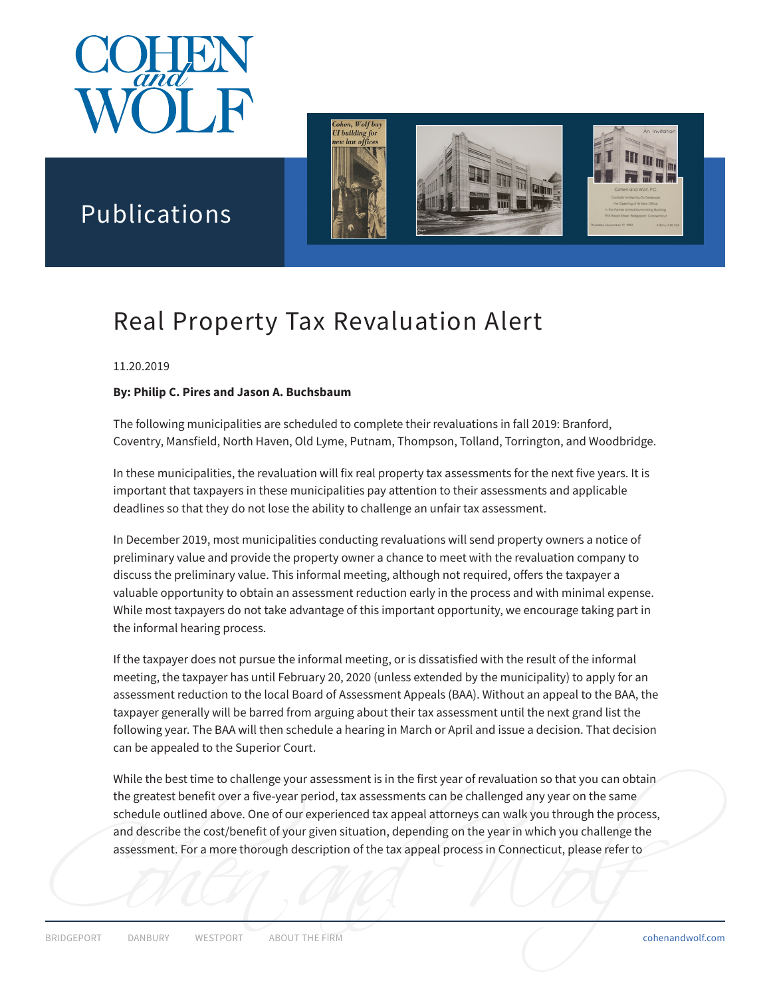



# Publications

# Real Property Tax Revaluation Alert

#### 11.20.2019

#### **By: Philip C. Pires and Jason A. Buchsbaum**

The following municipalities are scheduled to complete their revaluations in fall 2019: Branford, Coventry, Mansfield, North Haven, Old Lyme, Putnam, Thompson, Tolland, Torrington, and Woodbridge.

In these municipalities, the revaluation will fix real property tax assessments for the next five years. It is important that taxpayers in these municipalities pay attention to their assessments and applicable deadlines so that they do not lose the ability to challenge an unfair tax assessment.

In December 2019, most municipalities conducting revaluations will send property owners a notice of preliminary value and provide the property owner a chance to meet with the revaluation company to discuss the preliminary value. This informal meeting, although not required, offers the taxpayer a valuable opportunity to obtain an assessment reduction early in the process and with minimal expense. While most taxpayers do not take advantage of this important opportunity, we encourage taking part in the informal hearing process.

If the taxpayer does not pursue the informal meeting, or is dissatisfied with the result of the informal meeting, the taxpayer has until February 20, 2020 (unless extended by the municipality) to apply for an assessment reduction to the local Board of Assessment Appeals (BAA). Without an appeal to the BAA, the taxpayer generally will be barred from arguing about their tax assessment until the next grand list the following year. The BAA will then schedule a hearing in March or April and issue a decision. That decision can be appealed to the Superior Court.

assessment. For a more thorough description of the tax appeal process in Connecticut, please refer to<br>
BRIDGEPORT DANBURY WESTPORT ABOUT THE FIRM cohenandwolf.com While the best time to challenge your assessment is in the first year of revaluation so that you can obtain the greatest benefit over a five-year period, tax assessments can be challenged any year on the same schedule outlined above. One of our experienced tax appeal attorneys can walk you through the process, and describe the cost/benefit of your given situation, depending on the year in which you challenge the assessment. For a more thorough description of the tax appeal process in Connecticut, please refer to